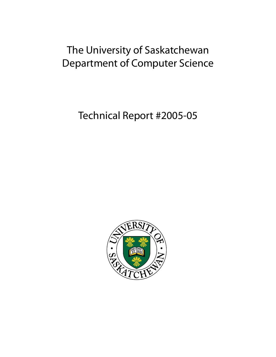# The University of Saskatchewan Department of Computer Science

Technical Report #2005-05

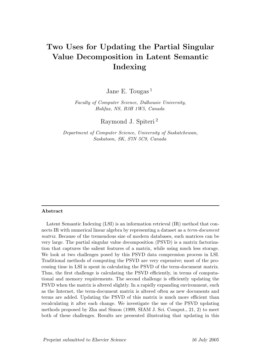# Two Uses for Updating the Partial Singular Value Decomposition in Latent Semantic Indexing

Jane E. Tougas<sup>1</sup>

Faculty of Computer Science, Dalhousie University, Halifax, NS, B3H 1W5, Canada

Raymond J. Spiteri <sup>2</sup>

Department of Computer Science, University of Saskatchewan, Saskatoon, SK, S7N 5C9, Canada

#### Abstract

Latent Semantic Indexing (LSI) is an information retrieval (IR) method that connects IR with numerical linear algebra by representing a dataset as a term-document matrix. Because of the tremendous size of modern databases, such matrices can be very large. The partial singular value decomposition (PSVD) is a matrix factorization that captures the salient features of a matrix, while using much less storage. We look at two challenges posed by this PSVD data compression process in LSI. Traditional methods of computing the PSVD are very expensive; most of the processing time in LSI is spent in calculating the PSVD of the term-document matrix. Thus, the first challenge is calculating the PSVD efficiently, in terms of computational and memory requirements. The second challenge is efficiently updating the PSVD when the matrix is altered slightly. In a rapidly expanding environment, such as the Internet, the term-document matrix is altered often as new documents and terms are added. Updating the PSVD of this matrix is much more efficient than recalculating it after each change. We investigate the use of the PSVD updating methods proposed by Zha and Simon (1999, SIAM J. Sci. Comput., 21, 2) to meet both of these challenges. Results are presented illustrating that updating in this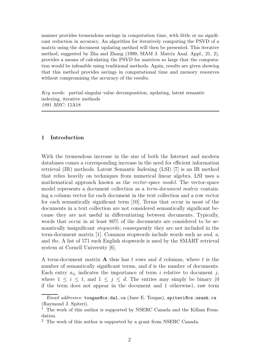manner provides tremendous savings in computation time, with little or no significant reduction in accuracy. An algorithm for iteratively computing the PSVD of a matrix using the document updating method will then be presented. This iterative method, suggested by Zha and Zhang (1999, SIAM J. Matrix Anal. Appl., 21, 2), provides a means of calculating the PSVD for matrices so large that the computation would be infeasible using traditional methods. Again, results are given showing that this method provides savings in computational time and memory resources without compromising the accuracy of the results.

Key words: partial singular value decomposition, updating, latent semantic indexing, iterative methods 1991 MSC: 15A18

# 1 Introduction

With the tremendous increase in the size of both the Internet and modern databases comes a corresponding increase in the need for efficient information retrieval (IR) methods. Latent Semantic Indexing (LSI) [7] is an IR method that relies heavily on techniques from numerical linear algebra. LSI uses a mathematical approach known as the vector-space model. The vector-space model represents a document collection as a *term-document matrix* containing a column vector for each document in the text collection and a row vector for each semantically significant term [10]. Terms that occur in most of the documents in a text collection are not considered semantically significant because they are not useful in differentiating between documents. Typically, words that occur in at least 80% of the documents are considered to be semantically insignificant stopwords; consequently they are not included in the term-document matrix [1]. Common stopwords include words such as and, a, and the. A list of 571 such English stopwords is used by the SMART retrieval system at Cornell University [6].

A term-document matrix **A** thus has t rows and d columns, where t is the number of semantically significant terms, and  $d$  is the number of documents. Each entry  $a_{ij}$  indicates the importance of term i relative to document j, where  $1 \leq i \leq t$ , and  $1 \leq j \leq d$ . The entries may simply be binary (0) if the term does not appear in the document and 1 otherwise), raw term

 $Email \; addresses: \; tougass@cs.dat.ca (Jane E. Tougas), \; spiteri@cs.usask.ca$ (Raymond J. Spiteri).

 $1$  The work of this author is supported by NSERC Canada and the Killam Foundation.

 $^2\,$  The work of this author is supported by a grant from NSERC Canada.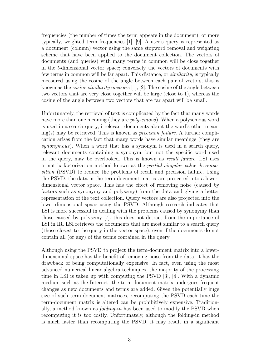frequencies (the number of times the term appears in the document), or more typically, weighted term frequencies [1], [9]. A user's query is represented as a document (column) vector using the same stopword removal and weighting scheme that have been applied to the document collection. The vectors of documents (and queries) with many terms in common will be close together in the t-dimensional vector space; conversely the vectors of documents with few terms in common will be far apart. This distance, or similarity, is typically measured using the cosine of the angle between each pair of vectors; this is known as the *cosine similarity measure* [1], [2]. The cosine of the angle between two vectors that are very close together will be large (close to 1), whereas the cosine of the angle between two vectors that are far apart will be small.

Unfortunately, the retrieval of text is complicated by the fact that many words have more than one meaning (they are *polysemous*). When a polysemous word is used in a search query, irrelevant documents about the word's other mean $ing(s)$  may be retrieved. This is known as *precision failure*. A further complication arises from the fact that many words have similar meanings (they are synonymous). When a word that has a synonym is used in a search query, relevant documents containing a synonym, but not the specific word used in the query, may be overlooked. This is known as recall failure. LSI uses a matrix factorization method known as the partial singular value decomposition (PSVD) to reduce the problems of recall and precision failure. Using the PSVD, the data in the term-document matrix are projected into a lowerdimensional vector space. This has the effect of removing noise (caused by factors such as synonymy and polysemy) from the data and giving a better representation of the text collection. Query vectors are also projected into the lower-dimensional space using the PSVD. Although research indicates that LSI is more successful in dealing with the problems caused by synonymy than those caused by polysemy [7], this does not detract from the importance of LSI in IR. LSI retrieves the documents that are most similar to a search query (those closest to the query in the vector space), even if the documents do not contain all (or any) of the terms contained in the query.

Although using the PSVD to project the term-document matrix into a lowerdimensional space has the benefit of removing noise from the data, it has the drawback of being computationally expensive. In fact, even using the most advanced numerical linear algebra techniques, the majority of the processing time in LSI is taken up with computing the PSVD [3], [4]. With a dynamic medium such as the Internet, the term-document matrix undergoes frequent changes as new documents and terms are added. Given the potentially huge size of such term-document matrices, recomputing the PSVD each time the term-document matrix is altered can be prohibitively expensive. Traditionally, a method known as *folding-in* has been used to modify the PSVD when recomputing it is too costly. Unfortunately, although the folding-in method is much faster than recomputing the PSVD, it may result in a significant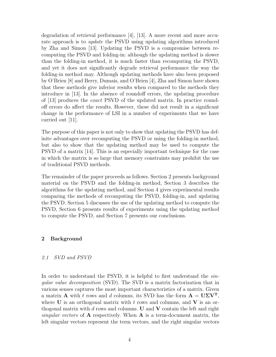degradation of retrieval performance [4], [13]. A more recent and more accurate approach is to *update* the PSVD using updating algorithms introduced by Zha and Simon [13]. Updating the PSVD is a compromise between recomputing the PSVD and folding-in: although the updating method is slower than the folding-in method, it is much faster than recomputing the PSVD, and yet it does not significantly degrade retrieval performance the way the folding-in method may. Although updating methods have also been proposed by O'Brien [8] and Berry, Dumais, and O'Brien [4], Zha and Simon have shown that these methods give inferior results when compared to the methods they introduce in [13]. In the absence of roundoff errors, the updating procedure of [13] produces the exact PSVD of the updated matrix. In practice roundoff errors do affect the results. However, these did not result in a significant change in the performance of LSI in a number of experiments that we have carried out [11].

The purpose of this paper is not only to show that updating the PSVD has definite advantages over recomputing the PSVD or using the folding-in method, but also to show that the updating method may be used to compute the PSVD of a matrix [14]. This is an especially important technique for the case in which the matrix is so large that memory constraints may prohibit the use of traditional PSVD methods.

The remainder of the paper proceeds as follows. Section 2 presents background material on the PSVD and the folding-in method, Section 3 describes the algorithms for the updating method, and Section 4 gives experimental results comparing the methods of recomputing the PSVD, folding-in, and updating the PSVD. Section 5 discusses the use of the updating method to compute the PSVD, Section 6 presents results of experiments using the updating method to compute the PSVD, and Section 7 presents our conclusions.

# 2 Background

# 2.1 SVD and PSVD

In order to understand the PSVD, it is helpful to first understand the *sin*gular value decomposition (SVD). The SVD is a matrix factorization that in various senses captures the most important characteristics of a matrix. Given a matrix **A** with t rows and d columns, its SVD has the form  $A = U\Sigma V^{T}$ , where  $U$  is an orthogonal matrix with t rows and columns, and  $V$  is an orthogonal matrix with  $d$  rows and columns. U and V contain the left and right singular vectors of  $\bf{A}$  respectively. When  $\bf{A}$  is a term-document matrix, the left singular vectors represent the term vectors, and the right singular vectors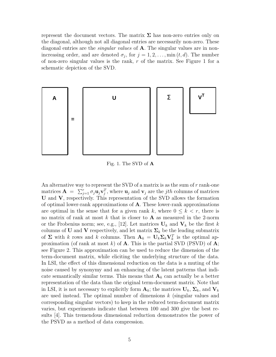represent the document vectors. The matrix  $\Sigma$  has non-zero entries only on the diagonal, although not all diagonal entries are necessarily non-zero. These diagonal entries are the *singular values* of  $\bf{A}$ . The singular values are in nonincreasing order, and are denoted  $\sigma_j$ , for  $j = 1, 2, \ldots$ , min  $(t, d)$ . The number of non-zero singular values is the rank,  $r$  of the matrix. See Figure 1 for a schematic depiction of the SVD.



Fig. 1. The SVD of A

An alternative way to represent the SVD of a matrix is as the sum of  $r$  rank-one matrices  $\mathbf{A} = \sum_{j=1}^r \sigma_j \mathbf{u}_j \mathbf{v}_j^T$ , where  $\mathbf{u}_j$  and  $\mathbf{v}_j$  are the *jth* columns of matrices U and V, respectively. This representation of the SVD allows the formation of optimal lower-rank approximations of A. These lower-rank approximations are optimal in the sense that for a given rank k, where  $0 \leq k \leq r$ , there is no matrix of rank at most  $k$  that is closer to  $A$  as measured in the 2-norm or the Frobenius norm; see, e.g., [12]. Let matrices  $U_k$  and  $V_k$  be the first k columns of U and V respectively, and let matrix  $\Sigma_k$  be the leading submatrix of  $\Sigma$  with k rows and k columns. Then  $\mathbf{A}_k = \mathbf{U}_k \Sigma_k \mathbf{V}_k^T$  is the optimal approximation (of rank at most k) of  $A$ . This is the partial SVD (PSVD) of  $A$ ; see Figure 2. This approximation can be used to reduce the dimension of the term-document matrix, while eliciting the underlying structure of the data. In LSI, the effect of this dimensional reduction on the data is a muting of the noise caused by synonymy and an enhancing of the latent patterns that indicate semantically similar terms. This means that  $\mathbf{A}_k$  can actually be a better representation of the data than the original term-document matrix. Note that in LSI, it is not necessary to explicitly form  $\mathbf{A}_k$ ; the matrices  $\mathbf{U}_k$ ,  $\Sigma_k$ , and  $\mathbf{V}_k$ are used instead. The optimal number of dimensions  $k$  (singular values and corresponding singular vectors) to keep in the reduced term-document matrix varies, but experiments indicate that between 100 and 300 give the best results [4]. This tremendous dimensional reduction demonstrates the power of the PSVD as a method of data compression.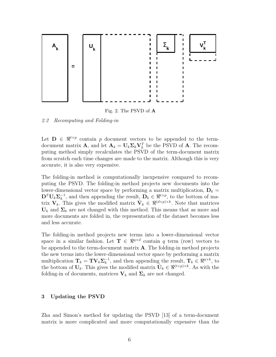

Fig. 2. The PSVD of A

2.2 Recomputing and Folding-in

Let  $\mathbf{D} \in \mathbb{R}^{t \times p}$  contain p document vectors to be appended to the termdocument matrix **A**, and let  $\mathbf{A}_k = \mathbf{U}_k \mathbf{\Sigma}_k \mathbf{V}_k^T$  be the PSVD of **A**. The recomputing method simply recalculates the PSVD of the term-document matrix from scratch each time changes are made to the matrix. Although this is very accurate, it is also very expensive.

The folding-in method is computationally inexpensive compared to recomputing the PSVD. The folding-in method projects new documents into the lower-dimensional vector space by performing a matrix multiplication,  $D_k =$  $\mathbf{D}^T \mathbf{U}_k \mathbf{\Sigma}_k^{-1}$ , and then appending the result,  $\mathbf{D}_k \in \mathbb{R}^{t \times p}$ , to the bottom of matrix  $V_k$ . This gives the modified matrix  $\hat{V}_k \in \Re^{(d+p)\times k}$ . Note that matrices  $U_k$  and  $\Sigma_k$  are not changed with this method. This means that as more and more documents are folded in, the representation of the dataset becomes less and less accurate.

The folding-in method projects new terms into a lower-dimensional vector space in a similar fashion. Let  $\mathbf{T} \in \mathbb{R}^{q \times d}$  contain q term (row) vectors to be appended to the term-document matrix A. The folding-in method projects the new terms into the lower-dimensional vector space by performing a matrix multiplication  $\mathbf{T}_k = \mathbf{T} \mathbf{V}_k \mathbf{\Sigma}_k^{-1}$ , and then appending the result,  $\mathbf{T}_k \in \mathbb{R}^{q \times k}$ , to the bottom of  $\mathbf{U}_k$ . This gives the modified matrix  $\hat{\mathbf{U}}_k \in \mathbb{R}^{(t+p)\times k}$ . As with the folding-in of documents, matrices  $V_k$  and  $\Sigma_k$  are not changed.

# 3 Updating the PSVD

Zha and Simon's method for updating the PSVD [13] of a term-document matrix is more complicated and more computationally expensive than the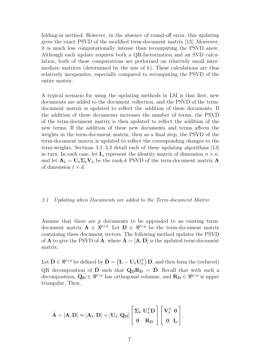folding-in method. However, in the absence of round-off error, this updating gives the exact PSVD of the modified term-document matrix [13]. Moreover, it is much less computationally intense than recomputing the PSVD anew. Although each update requires both a QR-factorization and an SVD calculation, both of these computations are performed on relatively small intermediate matrices (determined by the size of  $k$ ). These calculations are thus relatively inexpensive, especially compared to recomputing the PSVD of the entire matrix.

A typical scenario for using the updating methods in LSI is that first, new documents are added to the document collection, and the PSVD of the termdocument matrix is updated to reflect the addition of these documents. If the addition of these documents increases the number of terms, the PSVD of the term-document matrix is then updated to reflect the addition of the new terms. If the addition of these new documents and terms affects the weights in the term-document matrix, then as a final step, the PSVD of the term-document matrix is updated to reflect the corresponding changes to the term-weights. Sections 3.1–3.3 detail each of these updating algorithms [13] in turn. In each case, let  $I_n$  represent the identity matrix of dimension  $n \times n$ , and let  $\mathbf{A}_k = \mathbf{U}_k \mathbf{\Sigma}_k \mathbf{V}_k$  be the rank-k PSVD of the term-document matrix **A** of dimension  $t \times d$ .

# 3.1 Updating when Documents are added to the Term-document Matrix

Assume that there are  $p$  documents to be appended to an existing termdocument matrix  $\mathbf{A} \in \mathbb{R}^{t \times d}$ . Let  $\mathbf{D} \in \mathbb{R}^{t \times p}$  be the term-document matrix containing these document vectors. The following method updates the PSVD of **A** to give the PSVD of **A**, where  $A = [A, D]$  is the updated term-document matrix.

Let  $\hat{\mathbf{D}} \in \mathbb{R}^{t \times p}$  be defined by  $\hat{\mathbf{D}} = (\mathbf{I}_t - \mathbf{U}_k \mathbf{U}_k^T) \mathbf{D}$ , and then form the (reduced) QR decomposition of  $\hat{\mathbf{D}}$  such that  $\mathbf{Q}_{\mathbf{D}}\mathbf{R}_{\mathbf{D}} = \hat{\mathbf{D}}$ . Recall that with such a decomposition,  $\mathbf{Q}_{\mathbf{D}} \in \mathbb{R}^{t \times p}$  has orthogonal columns, and  $\mathbf{R}_{\mathbf{D}} \in \mathbb{R}^{p \times p}$  is upper triangular. Then,

$$
\tilde{\mathbf{A}} = [\mathbf{A}, \mathbf{D}] \approx [\mathbf{A}_k, \mathbf{D}] = [\mathbf{U}_k, \mathbf{Q}_{\mathbf{D}}] \begin{bmatrix} \Sigma_k & \mathbf{U}_k^T \mathbf{D} \\ \mathbf{0} & \mathbf{R}_{\mathbf{D}} \end{bmatrix} \begin{bmatrix} \mathbf{V}_k^T & \mathbf{0} \\ \mathbf{0} & \mathbf{I}_p \end{bmatrix}.
$$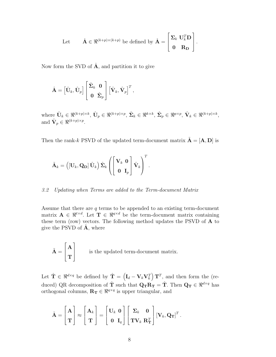Let 
$$
\hat{\mathbf{A}} \in \mathbb{R}^{(k+p)\times (k+p)}
$$
 be defined by  $\hat{\mathbf{A}} = \begin{bmatrix} \Sigma_k & \mathbf{U}_k^T \mathbf{D} \\ \mathbf{0} & \mathbf{R} \mathbf{D} \end{bmatrix}$ .

Now form the SVD of  $\hat{A}$ , and partition it to give

$$
\hat{\mathbf{A}} = \begin{bmatrix} \hat{\mathbf{U}}_k, \hat{\mathbf{U}}_p \end{bmatrix} \begin{bmatrix} \hat{\mathbf{\Sigma}}_k & \mathbf{0} \\ \mathbf{0} & \hat{\mathbf{\Sigma}}_p \end{bmatrix} \begin{bmatrix} \hat{\mathbf{V}}_k, \hat{\mathbf{V}}_p \end{bmatrix}^T,
$$

where  $\hat{\mathbf{U}}_k \in \mathbb{R}^{(k+p)\times k}$ ,  $\hat{\mathbf{U}}_p \in \mathbb{R}^{(k+p)\times p}$ ,  $\hat{\mathbf{\Sigma}}_k \in \mathbb{R}^{k\times k}$ ,  $\hat{\mathbf{\Sigma}}_p \in \mathbb{R}^{p\times p}$ ,  $\hat{\mathbf{V}}_k \in \mathbb{R}^{(k+p)\times k}$ , and  $\hat{\mathbf{V}}_p \in \Re^{(k+p)\times p}$ .

Then the rank-k PSVD of the updated term-document matrix  $\tilde{\mathbf{A}} = [\mathbf{A}, \mathbf{D}]$  is

.

$$
\tilde{\textbf{A}}_k = \left( \left[ \textbf{U}_k, \textbf{Q}_{\textbf{D}} \right] \hat{\textbf{U}}_k \right) \hat{\boldsymbol{\Sigma}}_k \left( \left[ \begin{matrix} \textbf{V}_k & \textbf{0} \\ \textbf{0} & \textbf{I}_p \end{matrix} \right] \hat{\textbf{V}}_k \right)^T
$$

#### 3.2 Updating when Terms are added to the Term-document Matrix

Assume that there are  $q$  terms to be appended to an existing term-document matrix  $\mathbf{A} \in \mathbb{R}^{t \times d}$ . Let  $\mathbf{T} \in \mathbb{R}^{q \times d}$  be the term-document matrix containing these term (row) vectors. The following method updates the PSVD of A to give the PSVD of  $A$ , where

$$
\tilde{\mathbf{A}} = \begin{bmatrix} \mathbf{A} \\ \mathbf{T} \end{bmatrix}
$$
 is the updated term-document matrix.

Let  $\hat{\mathbf{T}} \in \mathbb{R}^{d \times q}$  be defined by  $\hat{\mathbf{T}} = (\mathbf{I}_d - \mathbf{V}_k \mathbf{V}_k^T) \mathbf{T}^T$ , and then form the (reduced) QR decomposition of  $\hat{\mathbf{T}}$  such that  $\mathbf{Q_T}\mathbf{R_T} = \hat{\mathbf{T}}$ . Then  $\mathbf{Q_T} \in \mathbb{R}^{d \times q}$  has orthogonal columns,  $\mathbf{R}_{\mathbf{T}} \in \mathbb{R}^{q \times q}$  is upper triangular, and

$$
\tilde{\mathbf{A}} = \begin{bmatrix} \mathbf{A} \\ \mathbf{T} \end{bmatrix} \approx \begin{bmatrix} \mathbf{A}_k \\ \mathbf{T} \end{bmatrix} = \begin{bmatrix} \mathbf{U}_k & \mathbf{0} \\ \mathbf{0} & \mathbf{I}_q \end{bmatrix} \begin{bmatrix} \mathbf{\Sigma}_k & \mathbf{0} \\ \mathbf{TV}_k & \mathbf{R}_{\mathbf{T}}^T \end{bmatrix} [\mathbf{V}_k, \mathbf{Q}_{\mathbf{T}}]^T.
$$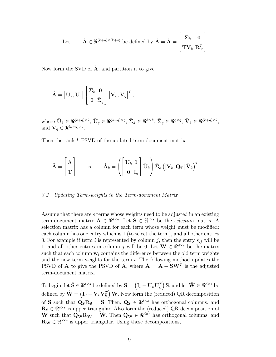Let 
$$
\hat{\mathbf{A}} \in \Re^{(k+q)\times(k+q)}
$$
 be defined by  $\hat{\mathbf{A}} = \hat{\mathbf{A}} = \begin{bmatrix} \Sigma_k & \mathbf{0} \\ \mathbf{T} \mathbf{V}_k & \mathbf{R}_\mathbf{T}^T \end{bmatrix}$ .

Now form the SVD of  $\bf{A}$ , and partition it to give

$$
\hat{\textbf{A}} = \begin{bmatrix} \bar{\textbf{U}}_k, \bar{\textbf{U}}_q \end{bmatrix} \begin{bmatrix} \bar{\boldsymbol{\Sigma}}_k & \textbf{0} \\ \textbf{0} & \bar{\boldsymbol{\Sigma}}_q \end{bmatrix} \begin{bmatrix} \bar{\textbf{V}}_k, \bar{\textbf{V}}_q \end{bmatrix}^T,
$$

where  $\bar{\mathbf{U}}_k \in \mathbb{R}^{(k+q)\times k}$ ,  $\bar{\mathbf{U}}_q \in \mathbb{R}^{(k+q)\times q}$ ,  $\bar{\mathbf{\Sigma}}_k \in \mathbb{R}^{k\times k}$ ,  $\bar{\mathbf{\Sigma}}_q \in \mathbb{R}^{q\times q}$ ,  $\bar{\mathbf{V}}_k \in \mathbb{R}^{(k+q)\times k}$ , and  $\bar{\mathbf{V}}_q \in \Re^{(k+q)\times q}$ .

Then the rank-k PSVD of the updated term-document matrix

$$
\tilde{\mathbf{A}} = \begin{bmatrix} \mathbf{A} \\ \mathbf{T} \end{bmatrix} \quad \text{is} \quad \hat{\mathbf{A}}_k = \left( \begin{bmatrix} \mathbf{U}_k & \mathbf{0} \\ \mathbf{0} & \mathbf{I}_q \end{bmatrix} \bar{\mathbf{U}}_k \right) \bar{\mathbf{\Sigma}}_k \left( \begin{bmatrix} \mathbf{V}_k, \mathbf{Q_T} \end{bmatrix} \bar{\mathbf{V}}_k \right)^T.
$$

#### 3.3 Updating Term-weights in the Term-document Matrix

Assume that there are s terms whose weights need to be adjusted in an existing term-document matrix  $\mathbf{A} \in \mathbb{R}^{t \times d}$ . Let  $\mathbf{S} \in \mathbb{R}^{t \times s}$  be the *selection* matrix. A selection matrix has a column for each term whose weight must be modified: each column has one entry which is 1 (to select the term), and all other entries 0. For example if term i is represented by column j, then the entry  $s_{ij}$  will be 1, and all other entries in column j will be 0. Let  $\mathbf{W} \in \mathbb{R}^{d \times s}$  be the matrix such that each column  $w_i$  contains the difference between the old term weights and the new term weights for the term  $i$ . The following method updates the PSVD of **A** to give the PSVD of  $\tilde{A}$ , where  $\tilde{A} = A + SW<sup>T</sup>$  is the adjusted term-document matrix.

To begin, let  $\hat{\mathbf{S}} \in \mathbb{R}^{t \times s}$  be defined by  $\hat{\mathbf{S}} = \left(\mathbf{I}_t - \mathbf{U}_k \mathbf{U}_k^T\right) \mathbf{S}$ , and let  $\hat{\mathbf{W}} \in \mathbb{R}^{d \times s}$  be defined by  $\hat{\mathbf{W}} = (\mathbf{I}_d - \mathbf{V}_k \mathbf{V}_k^T) \mathbf{W}$ . Now form the (reduced) QR decomposition of  $\hat{S}$  such that  $Q_S R_S = \hat{S}$ . Then,  $Q_S \in \Re^{t \times s}$  has orthogonal columns, and  $\mathbf{R}_{\mathbf{S}} \in \mathbb{R}^{s \times s}$  is upper triangular. Also form the (reduced) QR decomposition of  $\hat{\mathbf{W}}$  such that  $\mathbf{Q}_{\mathbf{W}}\mathbf{R}_{\mathbf{W}} = \hat{\mathbf{W}}$ . Then  $\mathbf{Q}_{\mathbf{W}} \in \mathbb{R}^{d \times s}$  has orthogonal columns, and  $\mathbf{R_W} \in \mathbb{R}^{s \times s}$  is upper triangular. Using these decompositions,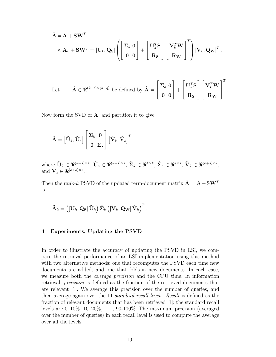$$
\tilde{\mathbf{A}} = \mathbf{A} + \mathbf{S}\mathbf{W}^T
$$
\n
$$
\approx \mathbf{A}_k + \mathbf{S}\mathbf{W}^T = [\mathbf{U}_k, \mathbf{Q}_\mathbf{S}] \left( \begin{bmatrix} \mathbf{\Sigma}_k & \mathbf{0} \\ \mathbf{0} & \mathbf{0} \end{bmatrix} + \begin{bmatrix} \mathbf{U}_k^T \mathbf{S} \\ \mathbf{R}_\mathbf{S} \end{bmatrix} \begin{bmatrix} \mathbf{V}_k^T \mathbf{W} \\ \mathbf{R}_\mathbf{W} \end{bmatrix}^T \right) [\mathbf{V}_k, \mathbf{Q}_\mathbf{W}]^T.
$$

Let 
$$
\hat{\mathbf{A}} \in \mathbb{R}^{(k+s)\times (k+q)}
$$
 be defined by  $\hat{\mathbf{A}} = \begin{bmatrix} \Sigma_k & \mathbf{0} \\ \mathbf{0} & \mathbf{0} \end{bmatrix} + \begin{bmatrix} \mathbf{U}_k^T \mathbf{S} \\ \mathbf{R}_\mathbf{S} \end{bmatrix} \begin{bmatrix} \mathbf{V}_k^T \mathbf{W} \\ \mathbf{R}_\mathbf{W} \end{bmatrix}^T$ 

.

Now form the SVD of  $\hat{A}$ , and partition it to give

$$
\hat{\mathbf{A}} = \begin{bmatrix} \tilde{\mathbf{U}}_k, \tilde{\mathbf{U}}_s \end{bmatrix} \begin{bmatrix} \tilde{\boldsymbol{\Sigma}}_k & \mathbf{0} \\ \mathbf{0} & \tilde{\boldsymbol{\Sigma}}_s \end{bmatrix} \begin{bmatrix} \tilde{\mathbf{V}}_k, \tilde{\mathbf{V}}_s \end{bmatrix}^T,
$$

where  $\tilde{\mathbf{U}}_k \in \mathbb{R}^{(k+s)\times k}$ ,  $\tilde{\mathbf{U}}_s \in \mathbb{R}^{(k+s)\times s}$ ,  $\tilde{\mathbf{\Sigma}}_k \in \mathbb{R}^{k\times k}$ ,  $\tilde{\mathbf{\Sigma}}_s \in \mathbb{R}^{s\times s}$ ,  $\tilde{\mathbf{V}}_k \in \mathbb{R}^{(k+s)\times k}$ , and  $\tilde{\mathbf{V}}_s \in \Re^{(k+s)\times s}$ .

Then the rank-k PSVD of the updated term-document matrix  $\tilde{\mathbf{A}} = \mathbf{A} + \mathbf{S}\mathbf{W}^T$ is

$$
\tilde{\textbf{A}}_k = \left( \left[ \textbf{U}_k, \textbf{Q}_\textbf{S} \right] \tilde{\textbf{U}}_k \right) \tilde{\boldsymbol{\Sigma}}_k \left( \left[ \textbf{V}_k, \textbf{Q}_\textbf{W} \right] \tilde{\textbf{V}}_k \right)^T.
$$

#### 4 Experiments: Updating the PSVD

In order to illustrate the accuracy of updating the PSVD in LSI, we compare the retrieval performance of an LSI implementation using this method with two alternative methods: one that recomputes the PSVD each time new documents are added, and one that folds-in new documents. In each case, we measure both the average precision and the CPU time. In information retrieval, precision is defined as the fraction of the retrieved documents that are relevant [1]. We average this precision over the number of queries, and then average again over the 11 standard recall levels. Recall is defined as the fraction of relevant documents that has been retrieved [1]; the standard recall levels are  $0-10\%$ ,  $10-20\%$ , ...,  $90-100\%$ . The maximum precision (averaged over the number of queries) in each recall level is used to compute the average over all the levels.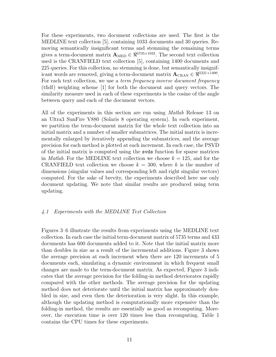For these experiments, two document collections are used. The first is the MEDLINE text collection [5], containing 1033 documents and 30 queries. Removing semantically insignificant terms and stemming the remaining terms gives a term-document matrix  $\mathbf{A}_{\text{MED}} \in \mathbb{R}^{5735 \times 1033}$ . The second text collection used is the CRANFIELD text collection [5], containing 1400 documents and 225 queries. For this collection, no stemming is done, but semantically insignificant words are removed, giving a term-document matrix  $\mathbf{A}_{\text{CRAN}} \in \mathbb{R}^{5321 \times 1400}$ . For each text collection, we use a *term frequency inverse document frequency* (tfidf) weighting scheme [1] for both the document and query vectors. The similarity measure used in each of these experiments is the cosine of the angle between query and each of the document vectors.

All of the experiments in this section are run using Matlab Release 13 on an Ultra3 SunFire V880 (Solaris 8 operating system). In each experiment, we partition the term-document matrix for the whole text collection into an initial matrix and a number of smaller submatrices. The initial matrix is incrementally enlarged by iteratively appending the submatrices, and the average precision for each method is plotted at each increment. In each case, the PSVD of the initial matrix is computed using the svds function for sparse matrices in *Matlab*. For the MEDLINE text collection we choose  $k = 125$ , and for the CRANFIELD text collection we choose  $k = 300$ , where k is the number of dimensions (singular values and corresponding left and right singular vectors) computed. For the sake of brevity, the experiments described here use only document updating. We note that similar results are produced using term updating.

# 4.1 Experiments with the MEDLINE Text Collection

Figures 3–6 illustrate the results from experiments using the MEDLINE text collection. In each case the initial term-document matrix of 5735 terms and 433 documents has 600 documents added to it. Note that the initial matrix more than doubles in size as a result of the incremental additions. Figure 3 shows the average precision at each increment when there are 120 increments of 5 documents each, simulating a dynamic environment in which frequent small changes are made to the term-document matrix. As expected, Figure 3 indicates that the average precision for the folding-in method deteriorates rapidly compared with the other methods. The average precision for the updating method does not deteriorate until the initial matrix has approximately doubled in size, and even then the deterioration is very slight. In this example, although the updating method is computationally more expensive than the folding-in method, the results are essentially as good as recomputing. Moreover, the execution time is over 120 times less than recomputing. Table 1 contains the CPU times for these experiments.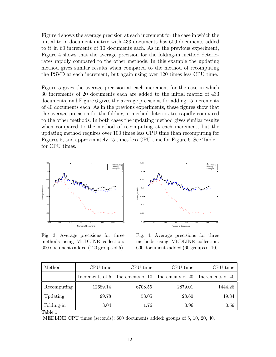Figure 4 shows the average precision at each increment for the case in which the initial term-document matrix with 433 documents has 600 documents added to it in 60 increments of 10 documents each. As in the previous experiment, Figure 4 shows that the average precision for the folding-in method deteriorates rapidly compared to the other methods. In this example the updating method gives similar results when compared to the method of recomputing the PSVD at each increment, but again using over 120 times less CPU time.

Figure 5 gives the average precision at each increment for the case in which 30 increments of 20 documents each are added to the initial matrix of 433 documents, and Figure 6 gives the average precisions for adding 15 increments of 40 documents each. As in the previous experiments, these figures show that the average precision for the folding-in method deteriorates rapidly compared to the other methods. In both cases the updating method gives similar results when compared to the method of recomputing at each increment, but the updating method requires over 100 times less CPU time than recomputing for Figures 5, and approximately 75 times less CPU time for Figure 6. See Table 1 for CPU times.

> 0.55 0.6 0.65



Average Precision verage Precisio 0.5 0.45 0.4 0.35 0.3 400 500 600 700 800 900 1000 1100 Number of Documents

Recomputing Updating Folding−in

Fig. 3. Average precisions for three methods using MEDLINE collection: 600 documents added (120 groups of 5).

Fig. 4. Average precisions for three methods using MEDLINE collection: 600 documents added (60 groups of 10).

| Method                | CPU time | CPU time                                | CPU time         | CPU time         |
|-----------------------|----------|-----------------------------------------|------------------|------------------|
|                       |          | Increments of $5 \mid$ Increments of 10 | Increments of 20 | Increments of 40 |
| Recomputing           | 12689.14 | 6708.55                                 | 2879.01          | 1444.26          |
| Updating              | 99.78    | 53.05                                   | 28.60            | 19.84            |
| Folding-in<br>T 1 1 1 | 3.04     | 1.76                                    | 0.96             | 0.59             |

Table 1

MEDLINE CPU times (seconds): 600 documents added: groups of 5, 10, 20, 40.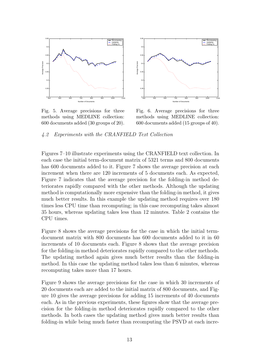



Fig. 5. Average precisions for three methods using MEDLINE collection: 600 documents added (30 groups of 20).

Fig. 6. Average precisions for three methods using MEDLINE collection: 600 documents added (15 groups of 40).

# 4.2 Experiments with the CRANFIELD Text Collection

Figures 7–10 illustrate experiments using the CRANFIELD text collection. In each case the initial term-document matrix of 5321 terms and 800 documents has 600 documents added to it. Figure 7 shows the average precision at each increment when there are 120 increments of 5 documents each. As expected, Figure 7 indicates that the average precision for the folding-in method deteriorates rapidly compared with the other methods. Although the updating method is computationally more expensive than the folding-in method, it gives much better results. In this example the updating method requires over 180 times less CPU time than recomputing; in this case recomputing takes almost 35 hours, whereas updating takes less than 12 minutes. Table 2 contains the CPU times.

Figure 8 shows the average precisions for the case in which the initial termdocument matrix with 800 documents has 600 documents added to it in 60 increments of 10 documents each. Figure 8 shows that the average precision for the folding-in method deteriorates rapidly compared to the other methods. The updating method again gives much better results than the folding-in method. In this case the updating method takes less than 6 minutes, whereas recomputing takes more than 17 hours.

Figure 9 shows the average precisions for the case in which 30 increments of 20 documents each are added to the initial matrix of 800 documents, and Figure 10 gives the average precisions for adding 15 increments of 40 documents each. As in the previous experiments, these figures show that the average precision for the folding-in method deteriorates rapidly compared to the other methods. In both cases the updating method gives much better results than folding-in while being much faster than recomputing the PSVD at each incre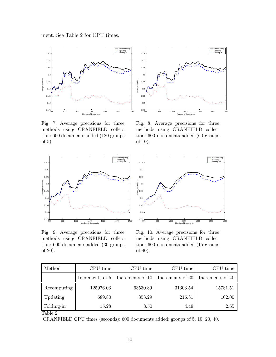ment. See Table 2 for CPU times.



Fig. 7. Average precisions for three methods using CRANFIELD collection: 600 documents added (120 groups of 5).



Fig. 8. Average precisions for three methods using CRANFIELD collection: 600 documents added (60 groups of 10).



Fig. 9. Average precisions for three methods using CRANFIELD collection: 600 documents added (30 groups of 20).



Fig. 10. Average precisions for three methods using CRANFIELD collection: 600 documents added (15 groups of 40).

| Method                | CPU time  | CPU time                                | CPU time         | CPU time         |
|-----------------------|-----------|-----------------------------------------|------------------|------------------|
|                       |           | Increments of $5 \mid$ Increments of 10 | Increments of 20 | Increments of 40 |
| Recomputing           | 125976.03 | 63530.89                                | 31303.54         | 15781.51         |
| Updating              | 689.80    | 353.29                                  | 216.81           | 102.00           |
| Folding-in<br>$T-1-0$ | 15.28     | 8.50                                    | 4.49             | 2.65             |

Table 2

CRANFIELD CPU times (seconds): 600 documents added: groups of 5, 10, 20, 40.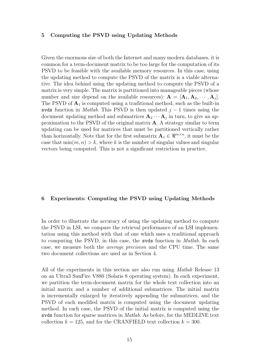# 5 Computing the PSVD using Updating Methods

Given the enormous size of both the Internet and many modern databases, it is common for a term-document matrix to be too large for the computation of its PSVD to be feasible with the available memory resources. In this case, using the updating method to compute the PSVD of the matrix is a viable alternative. The idea behind using the updating method to compute the PSVD of a matrix is very simple. The matrix is partitioned into manageable pieces (whose number and size depend on the available resources):  $A = [A_1, A_2, \cdots, A_j].$ The PSVD of  $A_1$  is computed using a traditional method, such as the built-in svds function in *Matlab*. This PSVD is then updated  $j - 1$  times using the document updating method and submatrices  ${\bf A}_2 \cdots {\bf A}_j$  in turn, to give an approximation to the PSVD of the original matrix A. A strategy similar to term updating can be used for matrices that must be partitioned vertically rather than horizontally. Note that for the first submatrix  $\mathbf{A}_1 \in \mathbb{R}^{m \times n}$ , it must be the case that  $\min(m, n) > k$ , where k is the number of singular values and singular vectors being computed. This is not a significant restriction in practice.

# 6 Experiments: Computing the PSVD using Updating Methods

In order to illustrate the accuracy of using the updating method to compute the PSVD in LSI, we compare the retrieval performance of an LSI implementation using this method with that of one which uses a traditional approach to computing the PSVD, in this case, the svds function in Matlab. In each case, we measure both the average precision and the CPU time. The same two document collections are used as in Section 4.

All of the experiments in this section are also run using Matlab Release 13 on an Ultra3 SunFire V880 (Solaris 8 operating system). In each experiment, we partition the term-document matrix for the whole text collection into an initial matrix and a number of additional submatrices. The initial matrix is incrementally enlarged by iteratively appending the submatrices, and the PSVD of each modified matrix is computed using the document updating method. In each case, the PSVD of the initial matrix is computed using the svds function for sparse matrices in *Matlab*. As before, for the MEDLINE text collection  $k = 125$ , and for the CRANFIELD text collection  $k = 300$ .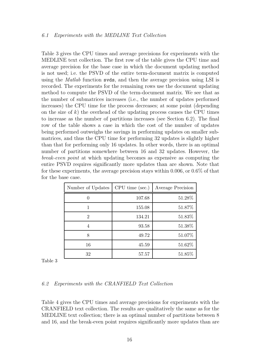# 6.1 Experiments with the MEDLINE Text Collection

Table 3 gives the CPU times and average precisions for experiments with the MEDLINE text collection. The first row of the table gives the CPU time and average precision for the base case in which the document updating method is not used; i.e. the PSVD of the entire term-document matrix is computed using the *Matlab* function svds, and then the average precision using LSI is recorded. The experiments for the remaining rows use the document updating method to compute the PSVD of the term-document matrix. We see that as the number of submatrices increases (i.e., the number of updates performed increases) the CPU time for the process decreases; at some point (depending on the size of  $k$ ) the overhead of the updating process causes the CPU times to increase as the number of partitions increases (see Section 6.2). The final row of the table shows a case in which the cost of the number of updates being performed outweighs the savings in performing updates on smaller submatrices, and thus the CPU time for performing 32 updates is slightly higher than that for performing only 16 updates. In other words, there is an optimal number of partitions somewhere between 16 and 32 updates. However, the break-even point at which updating becomes as expensive as computing the entire PSVD requires significantly more updates than are shown. Note that for these experiments, the average precision stays within 0.006, or 0.6% of that for the base case.

| Number of Updates | CPU time (sec.) | Average Precision |
|-------------------|-----------------|-------------------|
|                   | 107.68          | 51.28%            |
|                   | 155.08          | 51.87%            |
| $\overline{2}$    | 134.21          | 51.83%            |
| 4                 | 93.58           | 51.38%            |
| 8                 | 49.72           | 51.07%            |
| 16                | 45.59           | 51.62%            |
| 32                | 57.57           | 51.85%            |

Table 3

# 6.2 Experiments with the CRANFIELD Text Collection

Table 4 gives the CPU times and average precisions for experiments with the CRANFIELD text collection. The results are qualitatively the same as for the MEDLINE text collection; there is an optimal number of partitions between 8 and 16, and the break-even point requires significantly more updates than are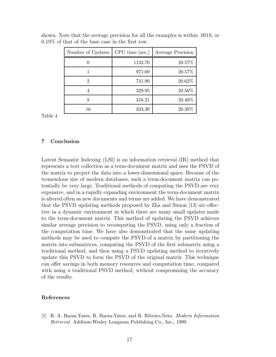| Number of Updates | CPU time (sec.) | Average Precision |
|-------------------|-----------------|-------------------|
|                   | 1132.70         | 20.57%            |
|                   | 971.69          | 20.57%            |
| 2                 | 741.90          | 20.62%            |
|                   | 329.95          | 20.56%            |
| 8                 | 316.21          | 20.40%            |
| 16                | 333.39          | 20.38%            |

shown. Note that the average precision for all the examples is within .0019, or 0.19% of that of the base case in the first row.

Table 4

# 7 Conclusion

Latent Semantic Indexing (LSI) is an information retrieval (IR) method that represents a text collection as a term-document matrix and uses the PSVD of the matrix to project the data into a lower-dimensional space. Because of the tremendous size of modern databases, such a term-document matrix can potentially be very large. Traditional methods of computing the PSVD are very expensive, and in a rapidly expanding environment the term-document matrix is altered often as new documents and terms are added. We have demonstrated that the PSVD updating methods proposed by Zha and Simon [13] are effective in a dynamic environment in which there are many small updates made to the term-document matrix. This method of updating the PSVD achieves similar average precision to recomputing the PSVD, using only a fraction of the computation time. We have also demonstrated that the same updating methods may be used to compute the PSVD of a matrix by partitioning the matrix into submatrices, computing the PSVD of the first submatrix using a traditional method, and then using a PSVD updating method to iteratively update this PSVD to form the PSVD of the original matrix. This technique can offer savings in both memory resources and computation time, compared with using a traditional PSVD method, without compromising the accuracy of the results.

# References

[1] R. A. Baeza-Yates, R. Baeza-Yates, and B. Ribeiro-Neto. Modern Information Retrieval. Addison-Wesley Longman Publishing Co., Inc., 1999.